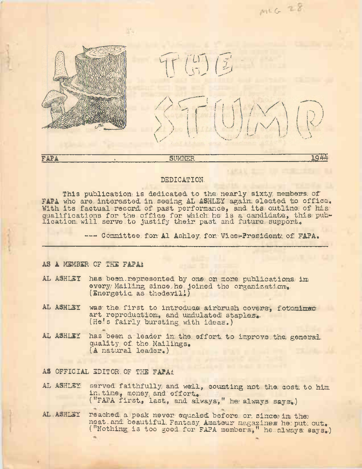

# DEDICATION-,

This publication is dedicated to the nearly sixty members of FAPA who are interested in seeing AL ASHLEY again elected to office. With its factual record of past performance, and its outline of his qualifications for the office for which he is a candidate, this pubdualitications for the office for which he is a candidate, the line of the support.

—- Committee, for Al Ashley, for Vice>?resident of FAPA.

## **AS A** MEMBER, OF THS **FAPAi**

- AL ASHLEY has been.represented by one on more publications, im every/ Mailing since he joined the organization. (Energetic as thedevil.1)
- AL ASHLEY was the first to introduce airbrush covers. fotomimed art reproduction, and undulated staples. (He'<sup>s</sup> fairly bursting with ideas.)
- AL ASHLEY has been a leader in the effort to improve the general quality of the Mailings. **(A** natural leader.)

**AS** OFFICIAL EDITOR; OF THE FAPAi:

- AL ASHLEY served faithfully/ and well, counting not the cost to him in time, money, and effort. ("FAPA first, last, and always," he always says.)
- AL . ASHLEY reached a peak never equaled before or since in the neat, and beautiful. Fantasy Amateur magazines he: put out. deat and beautiful rantasy Amateur magazines he put out.<br>("Nothing is too good for FAPA members," he always says.)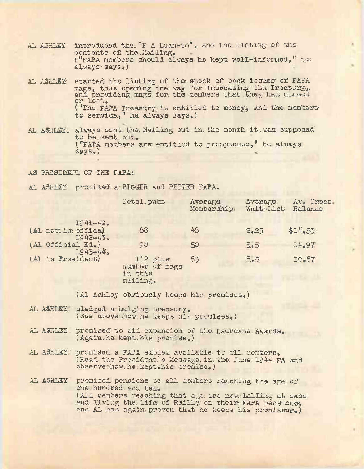- AL ASHLEY introduced the "F A Lean-to", and the listing of the contents of the Mailing. ("FAPA members should always be kept well-informed," he always-says.)
- AL ASHLEY: started the listing of the stock of back issues of FAPA mags, thus opening the way for increasing the Treasury, mags, thus opening the way for indreasing the freatury, or Lost. ("The FAPA Treasury is entitled to money, and the members to service.," ha. always- says.)
- AL ASHLEY. always: sent: the Mailing out in the month its waa supposed to be-sent... out... ("FAPA members arc entitled to promptness-," he. always  $s$ ays.)
- AS president: of. THE FABAi
- AL ASHLEY promised a-BIGGER. and BETTER. FAPA.

|                                                    | Total pubs                                        | Average<br>Membership, | Average<br>Wait-List | Av. Treas.<br>Balance |
|----------------------------------------------------|---------------------------------------------------|------------------------|----------------------|-----------------------|
| $1941 - 42.$<br>(Al nott in office)<br>$1942 - 43$ | 88                                                | 48                     | 2.25                 | \$14.55               |
| (Al Official Ed.)<br>1943-44                       | 9.8                                               | 50                     | 5.5.                 | 14.97                 |
| (Al is President)                                  | 112 plus<br>number of mags<br>in this<br>mailing. | 65                     | 8.5                  | 19.87                 |

 $(A1$  Ashley obviously keeps his promises.)

- AL ASHLEY- pledged a-bulging treasury. (See. above.how.he. keeps his promises.)
- AL ASHLEY, promised to aid expansion of the Laureate Awards. (Again.he kept his promise.)
- AL ASHLEY! promised a FAPA emblem available to all members. (Read the President's Message. in, the June  $1944$ : FA and observeshow: he skept his promise.)
- AL ASHLEY promised pensions to all members reaching the age of one hundred and ten. (All members reaching that age are now. Lolling at ease and. Living the Life of Reilly on their-FAPA pensions. and AL has again proven that he keeps his promisses.)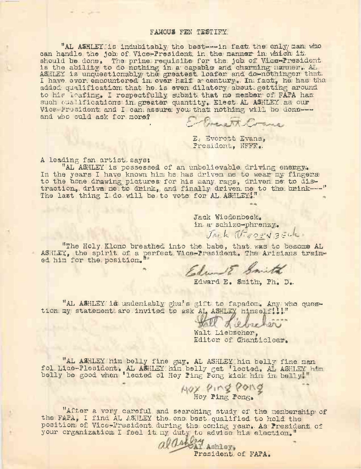#### FAMOUS FEN TESTIFY.

"AL ASHLEY is indubitably the best---in fact the only man who can handle the job of Vice-President in the manner in which it should be done. The prime requisite for the job of Vice-President<br>is the ability to do nothing in a capable and charming namner. AL<br>ASHLEY is unquestionably, the greatest loafer and do-nothinger that.<br>I have ever encounter added qualification that he is even dilatory about getting around to his leafing. I respectfulily, submit that no member of FAPA has such oua lifications in greater quantity. Elect AL ASHLEY as our Vice-Fresident and I can assure you that nothing will be done--and who culd ask for more?

E- Questit Come

E. Everett Evans, President, NFFR.

A leading fan artist says:

"AL ASHLEY is possessed of an unbelievable driving enemgy. In the years I have known him he has driven me to wear my fingers to the hone drawing pictures for his many rags, driven me to distraction, drive me to drink, and finally driven me to the bnink --- " The last thing I do will be to vote for AL ASHLEY!"

> Jack Wiedenbeck. in a schizo-phrenzy.

J.K. IF COON BELLE

"The Holy Klono breathed into the babe, that was to become AL ASHLEY, the spirit of a perfect Vice-President. The Arisians trained him for the position."

Edward E Smith

dward E. Smith, Ph. D.

"AL ASHLEY is undeniably ghu's gift to fapadom. Any who quest-<br>tion my statement are invited to ask AL ASHLEY himself!!!"

Walt Liebscher, Editon of Chanticleer.

"AL ASHLEY him belly fine guy. AL ASHLEY him belly fine man fol Lice-Plesident. AL ASHLEY him belly get 'lected. AL ASHLEY him belly be good when 'leated ol Hoy Ping Pong kick him im belly.

Hox Ping Pong

"After a very careful and searching study of the membership of the FAPA, I find AL ASHLEY the one best qualified to hold the position of Vice-President during the coming year. As President of your organization I feel it my duty to advise his election."

aldation Ashloy of FAPA.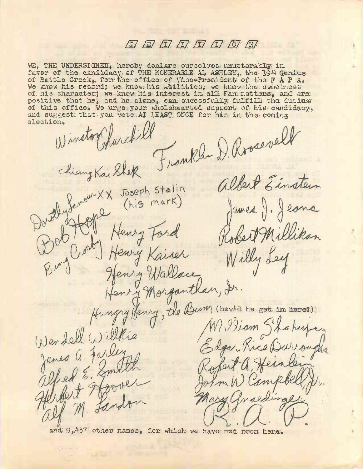# $E$   $E$   $E$   $I$   $I$   $I$   $I$   $I$   $I$   $I$   $I$

WE, THE UNDERSIGNED, hereby dealare curselves unuttenably in favor of the candidacy of THE HONERABLE AL ASHLEY, the 1944 Genius of Battle Creek, for the office of Vice-President of the F A P A. We know his record; we know his abilities; we know the sweetness of his character; we know his interest in all Fan natters, and are positive that he, and he alone, can sucessfully fulfill the duties of this office. We urge your wholehearted support of his candidacy, and suggest that you wete AT LEAST ONCE for him in the coming election.

(1) instort hurchill Chiang Kaishek Franklin D. Rossevell Dord Jamew XX Joseph Stalin<br>Dord Jamew XX Joseph Stalin<br>Dord Jamew XX Joseph Stalin albert Einstein James J. Jeans Robert Millikan Burg Crosby Henry Kaiser Willy Ley Henry Wallace Henry Morganthan, Ir. Hungry Henry, the Bum (nowto he get in here?) MV. Viam Shokespen (Nendell Willkie Edgar Kice Dwiroughs James a. Farleyns alfed E. Smith Koset a Heinley He fort Hoove home W. Campbel alf M. Landon Mary anaedinger

and 9,437 other names, for which we have not room hene.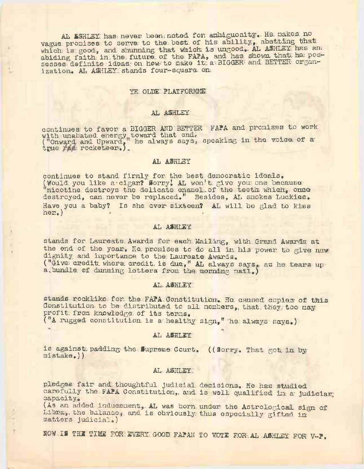AL SSHLEY has never been noted for anbiguosity. He makes no vague promises to serve to the best of his ability, abetting that which is good, and shunning that which is ungood. AL ASHLEY has an abiding faith in the future of the FAPA, and has shown that he pos-sesses definite ideas on how to make it a BIGGER and BETTER organization. AL ASHLEY stands four-square on

#### YE OLDE PLATFORME.

#### AL ASHLEY

continues to favor a BIGGER AND BETTER FAPA and promises to work with unabated energy toward that end.<br>("Onward and Upward, he always says, speaking in the voice of a true was rocketeen.).

### AL ASHLEY

continues to stand firmly for the best democratic ideals. (Would you like a cigan? Sorry! AL won't give you one because "nicotine destroys the delicate enamel of the teeth which, once destroyed, can mever be replaced." Besides, AL snokes Luckies. Have you a baby? Is she ever sixteen? AL will be glad to kuss  $h$ er.)

## AL ASHLEY

stands for Laureate Awards for each Mailing, with Grand Awards at the end of the year. He promises to do all in his power to give new. dignity and importance to the Laureate Awards. ("Give credit where credit is due," AL always says. as he tears up a bundle of dunning letters from the morning mail.)

#### AL ASHLEY

stands rocklike for the FAPA Constitution. He caused copies of this donstitution to be distributed to all nembers, that they too may profit from knowledge of its tenms.

("A rugged constitution is a healthy sign," he always says.)

## AL ASHLEY

is against padding the Supreme Court. ((Sorry. That got in by  $mistake$ .))

## AL ASHLEY.

pledges fair and thoughtful judicial decisions. He has studied canefully the FAPA Constitution, and is well qualified in a judiciar capacity.

(As an added inducement, AL was born under the Astrological sign of Libra, the balance, and is obviously thus especially gifted in matters judicial.)

NOW IS THE TIME FOR EVERY GOOD FAPAN TO VOTE FOR AL ASHLEY FOR V-P.